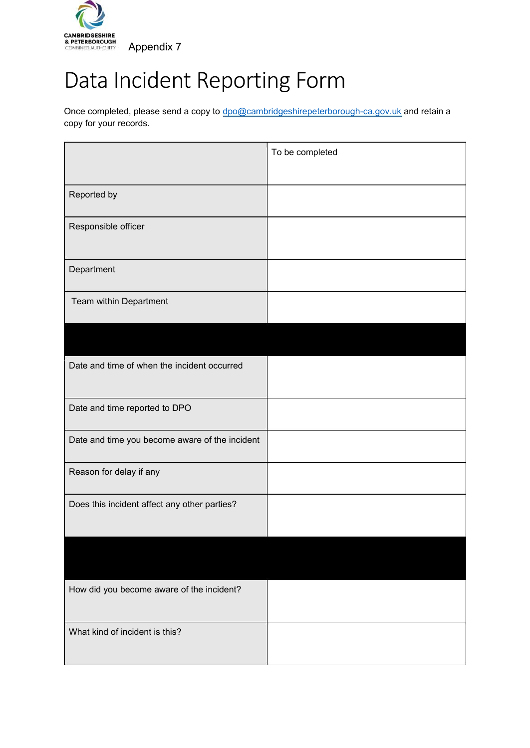

## Data Incident Reporting Form

Once completed, please send a copy to [dpo@cambridgeshirepeterborough-ca.gov.uk](mailto:dpo@cambridgeshirepeterborough-ca.gov.uk) and retain a copy for your records.

|                                                | To be completed |
|------------------------------------------------|-----------------|
|                                                |                 |
| Reported by                                    |                 |
| Responsible officer                            |                 |
| Department                                     |                 |
| Team within Department                         |                 |
|                                                |                 |
| Date and time of when the incident occurred    |                 |
| Date and time reported to DPO                  |                 |
| Date and time you become aware of the incident |                 |
| Reason for delay if any                        |                 |
| Does this incident affect any other parties?   |                 |
|                                                |                 |
| How did you become aware of the incident?      |                 |
| What kind of incident is this?                 |                 |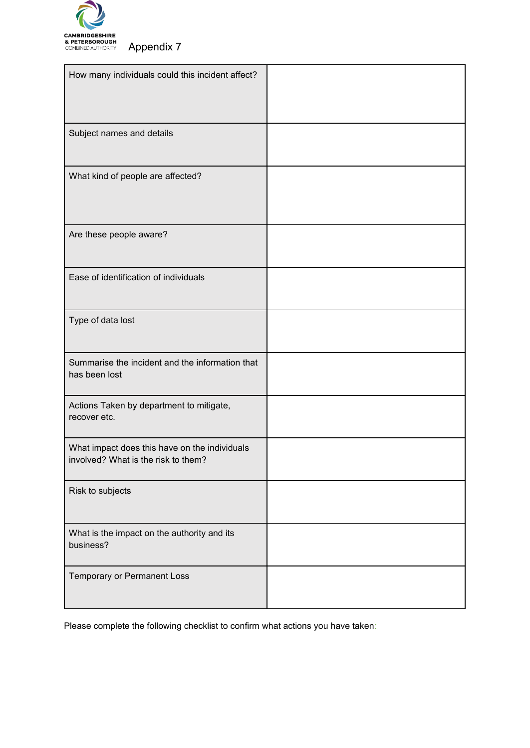

| How many individuals could this incident affect?                                     |  |
|--------------------------------------------------------------------------------------|--|
| Subject names and details                                                            |  |
| What kind of people are affected?                                                    |  |
| Are these people aware?                                                              |  |
| Ease of identification of individuals                                                |  |
| Type of data lost                                                                    |  |
| Summarise the incident and the information that<br>has been lost                     |  |
| Actions Taken by department to mitigate,<br>recover etc.                             |  |
| What impact does this have on the individuals<br>involved? What is the risk to them? |  |
| Risk to subjects                                                                     |  |
| What is the impact on the authority and its<br>business?                             |  |
| Temporary or Permanent Loss                                                          |  |

Please complete the following checklist to confirm what actions you have taken: